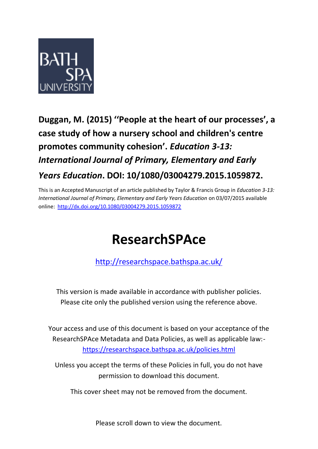

# **Duggan, M. (2015) ''People at the heart of our processes', a case study of how a nursery school and children's centre promotes community cohesion'.** *Education 3-13: International Journal of Primary, Elementary and Early Years Education***. DOI: 10/1080/03004279.2015.1059872.**

This is an Accepted Manuscript of an article published by Taylor & Francis Group in *Education 3-13: International Journal of Primary, Elementary and Early Years Education* on 03/07/2015 available online: <http://dx.doi.org/10.1080/03004279.2015.1059872>

# **ResearchSPAce**

<http://researchspace.bathspa.ac.uk/>

This version is made available in accordance with publisher policies. Please cite only the published version using the reference above.

Your access and use of this document is based on your acceptance of the ResearchSPAce Metadata and Data Policies, as well as applicable law: https://researchspace.bathspa.ac.uk/policies.html

Unless you accept the terms of these Policies in full, you do not have permission to download this document.

This cover sheet may not be removed from the document.

Please scroll down to view the document.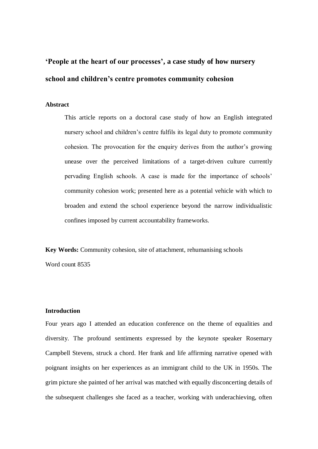# **'People at the heart of our processes', a case study of how nursery school and children's centre promotes community cohesion**

# **Abstract**

This article reports on a doctoral case study of how an English integrated nursery school and children's centre fulfils its legal duty to promote community cohesion. The provocation for the enquiry derives from the author's growing unease over the perceived limitations of a target-driven culture currently pervading English schools. A case is made for the importance of schools' community cohesion work; presented here as a potential vehicle with which to broaden and extend the school experience beyond the narrow individualistic confines imposed by current accountability frameworks.

**Key Words:** Community cohesion, site of attachment, rehumanising schools Word count 8535

# **Introduction**

Four years ago I attended an education conference on the theme of equalities and diversity. The profound sentiments expressed by the keynote speaker Rosemary Campbell Stevens, struck a chord. Her frank and life affirming narrative opened with poignant insights on her experiences as an immigrant child to the UK in 1950s. The grim picture she painted of her arrival was matched with equally disconcerting details of the subsequent challenges she faced as a teacher, working with underachieving, often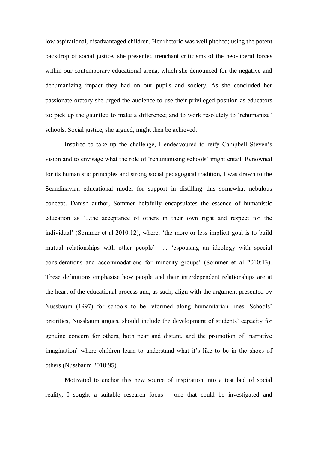low aspirational, disadvantaged children. Her rhetoric was well pitched; using the potent backdrop of social justice, she presented trenchant criticisms of the neo-liberal forces within our contemporary educational arena, which she denounced for the negative and dehumanizing impact they had on our pupils and society. As she concluded her passionate oratory she urged the audience to use their privileged position as educators to: pick up the gauntlet; to make a difference; and to work resolutely to 'rehumanize' schools. Social justice, she argued, might then be achieved.

Inspired to take up the challenge, I endeavoured to reify Campbell Steven's vision and to envisage what the role of 'rehumanising schools' might entail. Renowned for its humanistic principles and strong social pedagogical tradition, I was drawn to the Scandinavian educational model for support in distilling this somewhat nebulous concept. Danish author, Sommer helpfully encapsulates the essence of humanistic education as '...the acceptance of others in their own right and respect for the individual' (Sommer et al 2010:12), where, 'the more or less implicit goal is to build mutual relationships with other people' ... 'espousing an ideology with special considerations and accommodations for minority groups' (Sommer et al 2010:13). These definitions emphasise how people and their interdependent relationships are at the heart of the educational process and, as such, align with the argument presented by Nussbaum (1997) for schools to be reformed along humanitarian lines. Schools' priorities, Nussbaum argues, should include the development of students' capacity for genuine concern for others, both near and distant, and the promotion of 'narrative imagination' where children learn to understand what it's like to be in the shoes of others (Nussbaum 2010:95).

Motivated to anchor this new source of inspiration into a test bed of social reality, I sought a suitable research focus – one that could be investigated and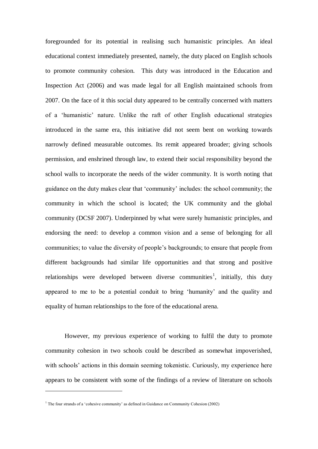foregrounded for its potential in realising such humanistic principles. An ideal educational context immediately presented, namely, the duty placed on English schools to promote community cohesion. This duty was introduced in the Education and Inspection Act (2006) and was made legal for all English maintained schools from 2007. On the face of it this social duty appeared to be centrally concerned with matters of a 'humanistic' nature. Unlike the raft of other English educational strategies introduced in the same era, this initiative did not seem bent on working towards narrowly defined measurable outcomes. Its remit appeared broader; giving schools permission, and enshrined through law, to extend their social responsibility beyond the school walls to incorporate the needs of the wider community. It is worth noting that guidance on the duty makes clear that 'community' includes: the school community; the community in which the school is located; the UK community and the global community (DCSF 2007). Underpinned by what were surely humanistic principles, and endorsing the need: to develop a common vision and a sense of belonging for all communities; to value the diversity of people's backgrounds; to ensure that people from different backgrounds had similar life opportunities and that strong and positive relationships were developed between diverse communities<sup>1</sup>, initially, this duty appeared to me to be a potential conduit to bring 'humanity' and the quality and equality of human relationships to the fore of the educational arena.

However, my previous experience of working to fulfil the duty to promote community cohesion in two schools could be described as somewhat impoverished, with schools' actions in this domain seeming tokenistic. Curiously, my experience here appears to be consistent with some of the findings of a review of literature on schools

 $\overline{a}$ 

<sup>&</sup>lt;sup>1</sup> The four strands of a 'cohesive community' as defined in Guidance on Community Cohesion (2002)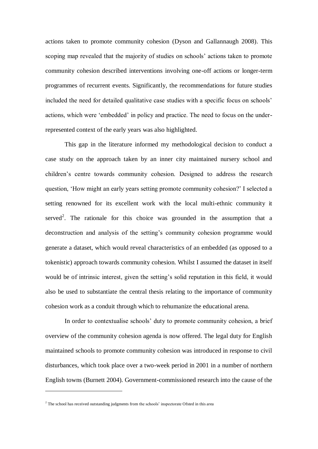actions taken to promote community cohesion (Dyson and Gallannaugh 2008). This scoping map revealed that the majority of studies on schools' actions taken to promote community cohesion described interventions involving one-off actions or longer-term programmes of recurrent events. Significantly, the recommendations for future studies included the need for detailed qualitative case studies with a specific focus on schools' actions, which were 'embedded' in policy and practice. The need to focus on the underrepresented context of the early years was also highlighted.

This gap in the literature informed my methodological decision to conduct a case study on the approach taken by an inner city maintained nursery school and children's centre towards community cohesion. Designed to address the research question, 'How might an early years setting promote community cohesion?' I selected a setting renowned for its excellent work with the local multi-ethnic community it served<sup>2</sup>. The rationale for this choice was grounded in the assumption that a deconstruction and analysis of the setting's community cohesion programme would generate a dataset, which would reveal characteristics of an embedded (as opposed to a tokenistic) approach towards community cohesion. Whilst I assumed the dataset in itself would be of intrinsic interest, given the setting's solid reputation in this field, it would also be used to substantiate the central thesis relating to the importance of community cohesion work as a conduit through which to rehumanize the educational arena.

In order to contextualise schools' duty to promote community cohesion, a brief overview of the community cohesion agenda is now offered. The legal duty for English maintained schools to promote community cohesion was introduced in response to civil disturbances, which took place over a two-week period in 2001 in a number of northern English towns (Burnett 2004). Government-commissioned research into the cause of the

 $\overline{a}$ 

 $2^2$  The school has received outstanding judgments from the schools' inspectorate Ofsted in this area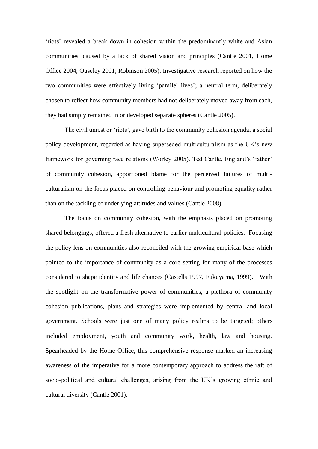'riots' revealed a break down in cohesion within the predominantly white and Asian communities, caused by a lack of shared vision and principles (Cantle 2001, Home Office 2004; Ouseley 2001; Robinson 2005). Investigative research reported on how the two communities were effectively living 'parallel lives'; a neutral term, deliberately chosen to reflect how community members had not deliberately moved away from each, they had simply remained in or developed separate spheres (Cantle 2005).

The civil unrest or 'riots', gave birth to the community cohesion agenda; a social policy development, regarded as having superseded multiculturalism as the UK's new framework for governing race relations (Worley 2005). Ted Cantle, England's 'father' of community cohesion, apportioned blame for the perceived failures of multiculturalism on the focus placed on controlling behaviour and promoting equality rather than on the tackling of underlying attitudes and values (Cantle 2008).

The focus on community cohesion, with the emphasis placed on promoting shared belongings, offered a fresh alternative to earlier multicultural policies. Focusing the policy lens on communities also reconciled with the growing empirical base which pointed to the importance of community as a core setting for many of the processes considered to shape identity and life chances (Castells 1997, Fukuyama, 1999). With the spotlight on the transformative power of communities, a plethora of community cohesion publications, plans and strategies were implemented by central and local government. Schools were just one of many policy realms to be targeted; others included employment, youth and community work, health, law and housing. Spearheaded by the Home Office, this comprehensive response marked an increasing awareness of the imperative for a more contemporary approach to address the raft of socio-political and cultural challenges, arising from the UK's growing ethnic and cultural diversity (Cantle 2001).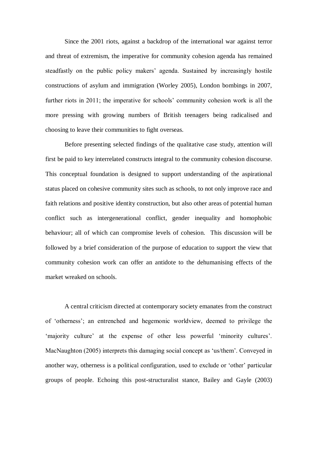Since the 2001 riots, against a backdrop of the international war against terror and threat of extremism, the imperative for community cohesion agenda has remained steadfastly on the public policy makers' agenda. Sustained by increasingly hostile constructions of asylum and immigration (Worley 2005), London bombings in 2007, further riots in 2011; the imperative for schools' community cohesion work is all the more pressing with growing numbers of British teenagers being radicalised and choosing to leave their communities to fight overseas.

Before presenting selected findings of the qualitative case study, attention will first be paid to key interrelated constructs integral to the community cohesion discourse. This conceptual foundation is designed to support understanding of the aspirational status placed on cohesive community sites such as schools, to not only improve race and faith relations and positive identity construction, but also other areas of potential human conflict such as intergenerational conflict, gender inequality and homophobic behaviour; all of which can compromise levels of cohesion. This discussion will be followed by a brief consideration of the purpose of education to support the view that community cohesion work can offer an antidote to the dehumanising effects of the market wreaked on schools.

A central criticism directed at contemporary society emanates from the construct of 'otherness'; an entrenched and hegemonic worldview, deemed to privilege the 'majority culture' at the expense of other less powerful 'minority cultures'. MacNaughton (2005) interprets this damaging social concept as 'us/them'. Conveyed in another way, otherness is a political configuration, used to exclude or 'other' particular groups of people. Echoing this post-structuralist stance, Bailey and Gayle (2003)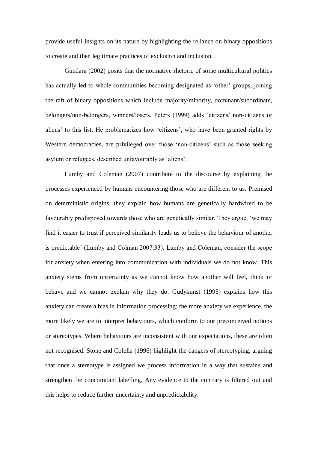provide useful insights on its nature by highlighting the reliance on binary oppositions to create and then legitimate practices of exclusion and inclusion.

Gundara (2002) posits that the normative rhetoric of some multicultural polities has actually led to whole communities becoming designated as 'other' groups, joining the raft of binary oppositions which include majority/minority, dominant/subordinate, belongers/non-belongers, winners/losers. Peters (1999) adds 'citizens/ non-citizens or aliens' to this list. He problematizes how 'citizens', who have been granted rights by Western democracies, are privileged over those 'non-citizens' such as those seeking asylum or refugees, described unfavourably as 'aliens'.

Lumby and Coleman (2007) contribute to the discourse by explaining the processes experienced by humans encountering those who are different to us. Premised on deterministic origins, they explain how humans are genetically hardwired to be favourably predisposed towards those who are genetically similar. They argue, 'we may find it easier to trust if perceived similarity leads us to believe the behaviour of another is predictable' (Lumby and Colman 2007:33). Lumby and Coleman, consider the scope for anxiety when entering into communication with individuals we do not know. This anxiety stems from uncertainty as we cannot know how another will feel, think or behave and we cannot explain why they do. Gudykunst (1995) explains how this anxiety can create a bias in information processing; the more anxiety we experience, the more likely we are to interpret behaviours, which conform to our preconceived notions or stereotypes. Where behaviours are inconsistent with our expectations, these are often not recognised. Stone and Colella (1996) highlight the dangers of stereotyping, arguing that once a stereotype is assigned we process information in a way that sustains and strengthen the concomitant labelling. Any evidence to the contrary is filtered out and this helps to reduce further uncertainty and unpredictability.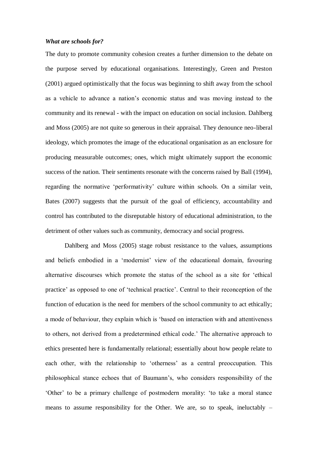# *What are schools for?*

The duty to promote community cohesion creates a further dimension to the debate on the purpose served by educational organisations. Interestingly, Green and Preston (2001) argued optimistically that the focus was beginning to shift away from the school as a vehicle to advance a nation's economic status and was moving instead to the community and its renewal - with the impact on education on social inclusion. Dahlberg and Moss (2005) are not quite so generous in their appraisal. They denounce neo-liberal ideology, which promotes the image of the educational organisation as an enclosure for producing measurable outcomes; ones, which might ultimately support the economic success of the nation. Their sentiments resonate with the concerns raised by Ball (1994), regarding the normative 'performativity' culture within schools. On a similar vein, Bates (2007) suggests that the pursuit of the goal of efficiency, accountability and control has contributed to the disreputable history of educational administration, to the detriment of other values such as community, democracy and social progress.

Dahlberg and Moss (2005) stage robust resistance to the values, assumptions and beliefs embodied in a 'modernist' view of the educational domain, favouring alternative discourses which promote the status of the school as a site for 'ethical practice' as opposed to one of 'technical practice'. Central to their reconception of the function of education is the need for members of the school community to act ethically; a mode of behaviour, they explain which is 'based on interaction with and attentiveness to others, not derived from a predetermined ethical code.' The alternative approach to ethics presented here is fundamentally relational; essentially about how people relate to each other, with the relationship to 'otherness' as a central preoccupation. This philosophical stance echoes that of Baumann's, who considers responsibility of the 'Other' to be a primary challenge of postmodern morality: 'to take a moral stance means to assume responsibility for the Other. We are, so to speak, ineluctably –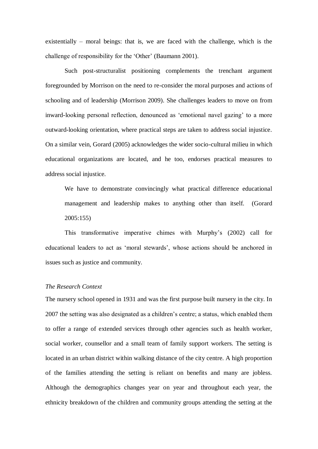existentially – moral beings: that is, we are faced with the challenge, which is the challenge of responsibility for the 'Other' (Baumann 2001).

Such post-structuralist positioning complements the trenchant argument foregrounded by Morrison on the need to re-consider the moral purposes and actions of schooling and of leadership (Morrison 2009). She challenges leaders to move on from inward-looking personal reflection, denounced as 'emotional navel gazing' to a more outward-looking orientation, where practical steps are taken to address social injustice. On a similar vein, Gorard (2005) acknowledges the wider socio-cultural milieu in which educational organizations are located, and he too, endorses practical measures to address social injustice.

We have to demonstrate convincingly what practical difference educational management and leadership makes to anything other than itself. (Gorard 2005:155)

This transformative imperative chimes with Murphy's (2002) call for educational leaders to act as 'moral stewards', whose actions should be anchored in issues such as justice and community.

# *The Research Context*

The nursery school opened in 1931 and was the first purpose built nursery in the city. In 2007 the setting was also designated as a children's centre; a status, which enabled them to offer a range of extended services through other agencies such as health worker, social worker, counsellor and a small team of family support workers. The setting is located in an urban district within walking distance of the city centre. A high proportion of the families attending the setting is reliant on benefits and many are jobless. Although the demographics changes year on year and throughout each year, the ethnicity breakdown of the children and community groups attending the setting at the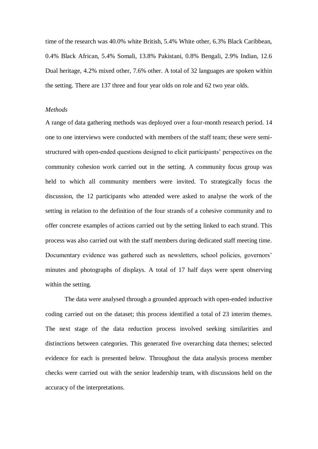time of the research was 40.0% white British, 5.4% White other, 6.3% Black Caribbean, 0.4% Black African, 5.4% Somali, 13.8% Pakistani, 0.8% Bengali, 2.9% Indian, 12.6 Dual heritage, 4.2% mixed other, 7.6% other. A total of 32 languages are spoken within the setting. There are 137 three and four year olds on role and 62 two year olds.

# *Methods*

A range of data gathering methods was deployed over a four-month research period. 14 one to one interviews were conducted with members of the staff team; these were semistructured with open-ended questions designed to elicit participants' perspectives on the community cohesion work carried out in the setting. A community focus group was held to which all community members were invited. To strategically focus the discussion, the 12 participants who attended were asked to analyse the work of the setting in relation to the definition of the four strands of a cohesive community and to offer concrete examples of actions carried out by the setting linked to each strand. This process was also carried out with the staff members during dedicated staff meeting time. Documentary evidence was gathered such as newsletters, school policies, governors' minutes and photographs of displays. A total of 17 half days were spent observing within the setting.

The data were analysed through a grounded approach with open-ended inductive coding carried out on the dataset; this process identified a total of 23 interim themes. The next stage of the data reduction process involved seeking similarities and distinctions between categories. This generated five overarching data themes; selected evidence for each is presented below. Throughout the data analysis process member checks were carried out with the senior leadership team, with discussions held on the accuracy of the interpretations.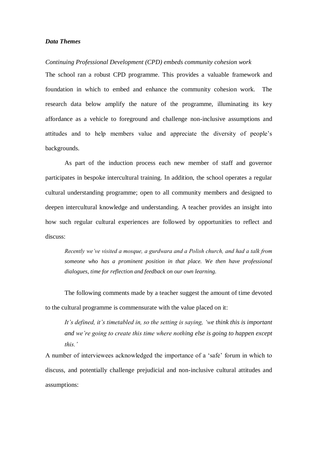# *Data Themes*

# *Continuing Professional Development (CPD) embeds community cohesion work*

The school ran a robust CPD programme. This provides a valuable framework and foundation in which to embed and enhance the community cohesion work. The research data below amplify the nature of the programme, illuminating its key affordance as a vehicle to foreground and challenge non-inclusive assumptions and attitudes and to help members value and appreciate the diversity of people's backgrounds.

As part of the induction process each new member of staff and governor participates in bespoke intercultural training. In addition, the school operates a regular cultural understanding programme; open to all community members and designed to deepen intercultural knowledge and understanding. A teacher provides an insight into how such regular cultural experiences are followed by opportunities to reflect and discuss:

*Recently we've visited a mosque, a gurdwara and a Polish church, and had a talk from someone who has a prominent position in that place. We then have professional dialogues, time for reflection and feedback on our own learning.*

The following comments made by a teacher suggest the amount of time devoted to the cultural programme is commensurate with the value placed on it:

*It's defined, it's timetabled in, so the setting is saying, 'we think this is important and we're going to create this time where nothing else is going to happen except this.'*

A number of interviewees acknowledged the importance of a 'safe' forum in which to discuss, and potentially challenge prejudicial and non-inclusive cultural attitudes and assumptions: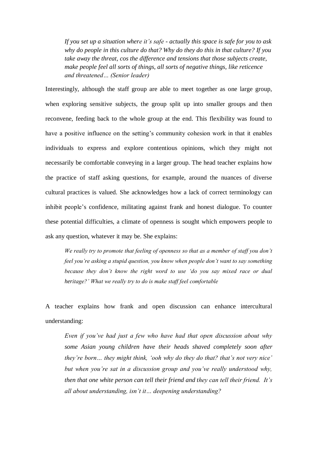*If you set up a situation where it's safe - actually this space is safe for you to ask why do people in this culture do that? Why do they do this in that culture? If you take away the threat, cos the difference and tensions that those subjects create, make people feel all sorts of things, all sorts of negative things, like reticence and threatened… (Senior leader)*

Interestingly, although the staff group are able to meet together as one large group, when exploring sensitive subjects, the group split up into smaller groups and then reconvene, feeding back to the whole group at the end. This flexibility was found to have a positive influence on the setting's community cohesion work in that it enables individuals to express and explore contentious opinions, which they might not necessarily be comfortable conveying in a larger group. The head teacher explains how the practice of staff asking questions, for example, around the nuances of diverse cultural practices is valued. She acknowledges how a lack of correct terminology can inhibit people's confidence, militating against frank and honest dialogue. To counter these potential difficulties, a climate of openness is sought which empowers people to ask any question, whatever it may be. She explains:

*We really try to promote that feeling of openness so that as a member of staff you don't feel you're asking a stupid question, you know when people don't want to say something because they don't know the right word to use 'do you say mixed race or dual heritage?' What we really try to do is make staff feel comfortable* 

A teacher explains how frank and open discussion can enhance intercultural understanding:

*Even if you've had just a few who have had that open discussion about why some Asian young children have their heads shaved completely soon after they're born… they might think, 'ooh why do they do that? that's not very nice' but when you're sat in a discussion group and you've really understood why, then that one white person can tell their friend and they can tell their friend. It's all about understanding, isn't it… deepening understanding?*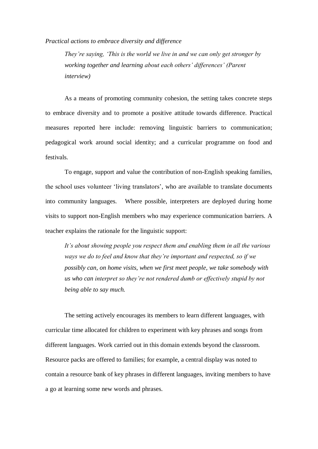#### *Practical actions to embrace diversity and difference*

*They're saying, 'This is the world we live in and we can only get stronger by working together and learning about each others' differences' (Parent interview)* 

As a means of promoting community cohesion, the setting takes concrete steps to embrace diversity and to promote a positive attitude towards difference. Practical measures reported here include: removing linguistic barriers to communication; pedagogical work around social identity; and a curricular programme on food and festivals.

To engage, support and value the contribution of non-English speaking families, the school uses volunteer 'living translators', who are available to translate documents into community languages. Where possible, interpreters are deployed during home visits to support non-English members who may experience communication barriers. A teacher explains the rationale for the linguistic support:

*It's about showing people you respect them and enabling them in all the various ways we do to feel and know that they're important and respected, so if we possibly can, on home visits, when we first meet people, we take somebody with us who can interpret so they're not rendered dumb or effectively stupid by not being able to say much.* 

The setting actively encourages its members to learn different languages, with curricular time allocated for children to experiment with key phrases and songs from different languages. Work carried out in this domain extends beyond the classroom. Resource packs are offered to families; for example, a central display was noted to contain a resource bank of key phrases in different languages, inviting members to have a go at learning some new words and phrases.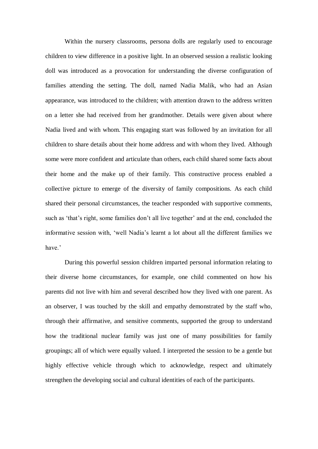Within the nursery classrooms, persona dolls are regularly used to encourage children to view difference in a positive light. In an observed session a realistic looking doll was introduced as a provocation for understanding the diverse configuration of families attending the setting. The doll, named Nadia Malik, who had an Asian appearance, was introduced to the children; with attention drawn to the address written on a letter she had received from her grandmother. Details were given about where Nadia lived and with whom. This engaging start was followed by an invitation for all children to share details about their home address and with whom they lived. Although some were more confident and articulate than others, each child shared some facts about their home and the make up of their family. This constructive process enabled a collective picture to emerge of the diversity of family compositions. As each child shared their personal circumstances, the teacher responded with supportive comments, such as 'that's right, some families don't all live together' and at the end, concluded the informative session with, 'well Nadia's learnt a lot about all the different families we have.'

During this powerful session children imparted personal information relating to their diverse home circumstances, for example, one child commented on how his parents did not live with him and several described how they lived with one parent. As an observer, I was touched by the skill and empathy demonstrated by the staff who, through their affirmative, and sensitive comments, supported the group to understand how the traditional nuclear family was just one of many possibilities for family groupings; all of which were equally valued. I interpreted the session to be a gentle but highly effective vehicle through which to acknowledge, respect and ultimately strengthen the developing social and cultural identities of each of the participants.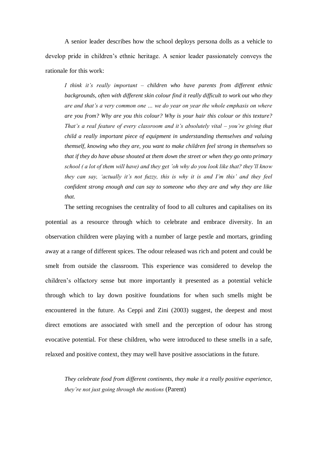A senior leader describes how the school deploys persona dolls as a vehicle to develop pride in children's ethnic heritage. A senior leader passionately conveys the rationale for this work:

*I think it's really important – children who have parents from different ethnic backgrounds, often with different skin colour find it really difficult to work out who they are and that's a very common one … we do year on year the whole emphasis on where are you from? Why are you this colour? Why is your hair this colour or this texture? That's a real feature of every classroom and it's absolutely vital – you're giving that child a really important piece of equipment in understanding themselves and valuing themself, knowing who they are, you want to make children feel strong in themselves so that if they do have abuse shouted at them down the street or when they go onto primary school ( a lot of them will have) and they get 'oh why do you look like that? they'll know they can say, 'actually it's not fuzzy, this is why it is and I'm this' and they feel confident strong enough and can say to someone who they are and why they are like that.*

The setting recognises the centrality of food to all cultures and capitalises on its potential as a resource through which to celebrate and embrace diversity. In an observation children were playing with a number of large pestle and mortars, grinding away at a range of different spices. The odour released was rich and potent and could be smelt from outside the classroom. This experience was considered to develop the children's olfactory sense but more importantly it presented as a potential vehicle through which to lay down positive foundations for when such smells might be encountered in the future. As Ceppi and Zini (2003) suggest, the deepest and most direct emotions are associated with smell and the perception of odour has strong evocative potential. For these children, who were introduced to these smells in a safe, relaxed and positive context, they may well have positive associations in the future.

*They celebrate food from different continents, they make it a really positive experience, they're not just going through the motions* (Parent)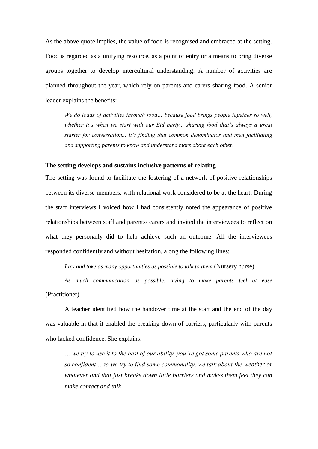As the above quote implies, the value of food is recognised and embraced at the setting. Food is regarded as a unifying resource, as a point of entry or a means to bring diverse groups together to develop intercultural understanding. A number of activities are planned throughout the year, which rely on parents and carers sharing food. A senior leader explains the benefits:

*We do loads of activities through food… because food brings people together so well, whether it's when we start with our Eid party... sharing food that's always a great starter for conversation... it's finding that common denominator and then facilitating and supporting parents to know and understand more about each other.* 

# **The setting develops and sustains inclusive patterns of relating**

The setting was found to facilitate the fostering of a network of positive relationships between its diverse members, with relational work considered to be at the heart. During the staff interviews I voiced how I had consistently noted the appearance of positive relationships between staff and parents/ carers and invited the interviewees to reflect on what they personally did to help achieve such an outcome. All the interviewees responded confidently and without hesitation, along the following lines:

*I try and take as many opportunities as possible to talk to them* (Nursery nurse)

*As much communication as possible, trying to make parents feel at ease* (Practitioner)

A teacher identified how the handover time at the start and the end of the day was valuable in that it enabled the breaking down of barriers, particularly with parents who lacked confidence. She explains:

*… we try to use it to the best of our ability, you've got some parents who are not so confident… so we try to find some commonality, we talk about the weather or whatever and that just breaks down little barriers and makes them feel they can make contact and talk*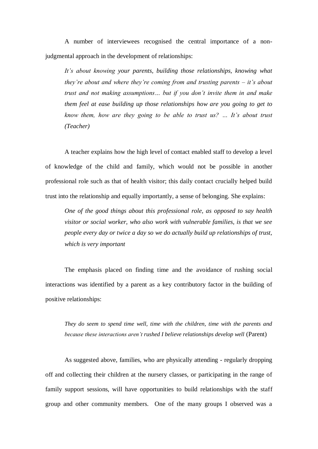A number of interviewees recognised the central importance of a nonjudgmental approach in the development of relationships:

*It's about knowing your parents, building those relationships, knowing what they're about and where they're coming from and trusting parents – it's about trust and not making assumptions… but if you don't invite them in and make them feel at ease building up those relationships how are you going to get to know them, how are they going to be able to trust us? … It's about trust (Teacher)* 

A teacher explains how the high level of contact enabled staff to develop a level of knowledge of the child and family, which would not be possible in another professional role such as that of health visitor; this daily contact crucially helped build trust into the relationship and equally importantly, a sense of belonging. She explains:

*One of the good things about this professional role, as opposed to say health visitor or social worker, who also work with vulnerable families, is that we see people every day or twice a day so we do actually build up relationships of trust, which is very important* 

The emphasis placed on finding time and the avoidance of rushing social interactions was identified by a parent as a key contributory factor in the building of positive relationships:

*They do seem to spend time well, time with the children, time with the parents and because these interactions aren't rushed I believe relationships develop well* (Parent)

As suggested above, families, who are physically attending - regularly dropping off and collecting their children at the nursery classes, or participating in the range of family support sessions, will have opportunities to build relationships with the staff group and other community members. One of the many groups I observed was a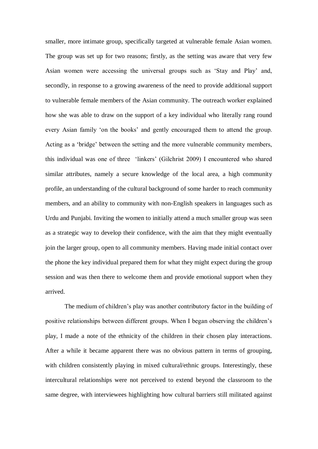smaller, more intimate group, specifically targeted at vulnerable female Asian women. The group was set up for two reasons; firstly, as the setting was aware that very few Asian women were accessing the universal groups such as 'Stay and Play' and, secondly, in response to a growing awareness of the need to provide additional support to vulnerable female members of the Asian community. The outreach worker explained how she was able to draw on the support of a key individual who literally rang round every Asian family 'on the books' and gently encouraged them to attend the group. Acting as a 'bridge' between the setting and the more vulnerable community members, this individual was one of three 'linkers' (Gilchrist 2009) I encountered who shared similar attributes, namely a secure knowledge of the local area, a high community profile, an understanding of the cultural background of some harder to reach community members, and an ability to community with non-English speakers in languages such as Urdu and Punjabi. Inviting the women to initially attend a much smaller group was seen as a strategic way to develop their confidence, with the aim that they might eventually join the larger group, open to all community members. Having made initial contact over the phone the key individual prepared them for what they might expect during the group session and was then there to welcome them and provide emotional support when they arrived.

The medium of children's play was another contributory factor in the building of positive relationships between different groups. When I began observing the children's play, I made a note of the ethnicity of the children in their chosen play interactions. After a while it became apparent there was no obvious pattern in terms of grouping, with children consistently playing in mixed cultural/ethnic groups. Interestingly, these intercultural relationships were not perceived to extend beyond the classroom to the same degree, with interviewees highlighting how cultural barriers still militated against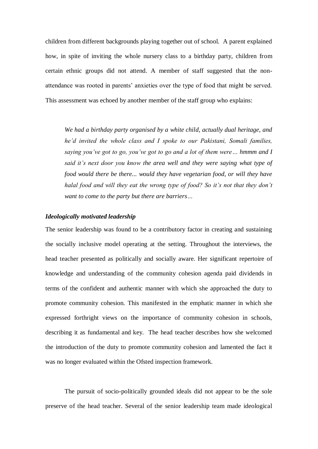children from different backgrounds playing together out of school. A parent explained how, in spite of inviting the whole nursery class to a birthday party, children from certain ethnic groups did not attend. A member of staff suggested that the nonattendance was rooted in parents' anxieties over the type of food that might be served. This assessment was echoed by another member of the staff group who explains:

*We had a birthday party organised by a white child, actually dual heritage, and he'd invited the whole class and I spoke to our Pakistani, Somali families, saying you've got to go, you've got to go and a lot of them were… hmmm and I said it's next door you know the area well and they were saying what type of food would there be there... would they have vegetarian food, or will they have halal food and will they eat the wrong type of food? So it's not that they don't want to come to the party but there are barriers…*

# *Ideologically motivated leadership*

The senior leadership was found to be a contributory factor in creating and sustaining the socially inclusive model operating at the setting. Throughout the interviews, the head teacher presented as politically and socially aware. Her significant repertoire of knowledge and understanding of the community cohesion agenda paid dividends in terms of the confident and authentic manner with which she approached the duty to promote community cohesion. This manifested in the emphatic manner in which she expressed forthright views on the importance of community cohesion in schools, describing it as fundamental and key. The head teacher describes how she welcomed the introduction of the duty to promote community cohesion and lamented the fact it was no longer evaluated within the Ofsted inspection framework.

The pursuit of socio-politically grounded ideals did not appear to be the sole preserve of the head teacher. Several of the senior leadership team made ideological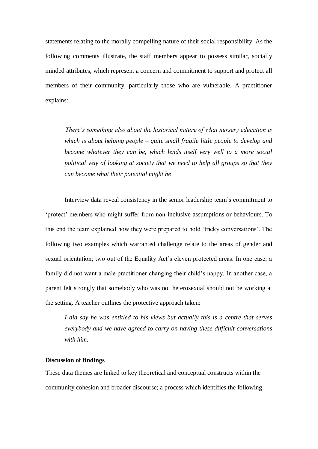statements relating to the morally compelling nature of their social responsibility. As the following comments illustrate, the staff members appear to possess similar, socially minded attributes, which represent a concern and commitment to support and protect all members of their community, particularly those who are vulnerable. A practitioner explains:

*There's something also about the historical nature of what nursery education is which is about helping people – quite small fragile little people to develop and become whatever they can be, which lends itself very well to a more social political way of looking at society that we need to help all groups so that they can become what their potential might be*

Interview data reveal consistency in the senior leadership team's commitment to 'protect' members who might suffer from non-inclusive assumptions or behaviours. To this end the team explained how they were prepared to hold 'tricky conversations'. The following two examples which warranted challenge relate to the areas of gender and sexual orientation; two out of the Equality Act's eleven protected areas. In one case, a family did not want a male practitioner changing their child's nappy. In another case, a parent felt strongly that somebody who was not heterosexual should not be working at the setting. A teacher outlines the protective approach taken:

*I did say he was entitled to his views but actually this is a centre that serves everybody and we have agreed to carry on having these difficult conversations with him.* 

# **Discussion of findings**

These data themes are linked to key theoretical and conceptual constructs within the community cohesion and broader discourse; a process which identifies the following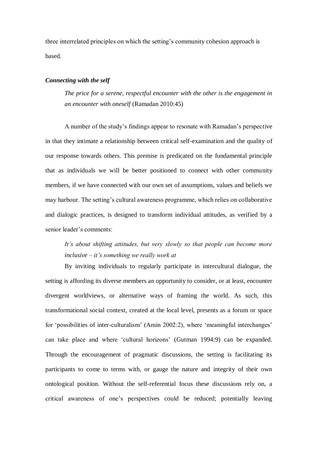three interrelated principles on which the setting's community cohesion approach is based.

# *Connecting with the self*

*The price for a serene, respectful encounter with the other is the engagement in an encounter with oneself* (Ramadan 2010:45)

A number of the study's findings appear to resonate with Ramadan's perspective in that they intimate a relationship between critical self-examination and the quality of our response towards others. This premise is predicated on the fundamental principle that as individuals we will be better positioned to connect with other community members, if we have connected with our own set of assumptions, values and beliefs we may harbour. The setting's cultural awareness programme, which relies on collaborative and dialogic practices, is designed to transform individual attitudes, as verified by a senior leader's comments:

*It's about shifting attitudes, but very slowly so that people can become more inclusive – it's something we really work at*

By inviting individuals to regularly participate in intercultural dialogue, the setting is affording its diverse members an opportunity to consider, or at least, encounter divergent worldviews, or alternative ways of framing the world. As such, this transformational social context, created at the local level, presents as a forum or space for 'possibilities of inter-culturalism' (Amin 2002:2), where 'meaningful interchanges' can take place and where 'cultural horizons' (Gutman 1994:9) can be expanded. Through the encouragement of pragmatic discussions, the setting is facilitating its participants to come to terms with, or gauge the nature and integrity of their own ontological position. Without the self-referential focus these discussions rely on, a critical awareness of one's perspectives could be reduced; potentially leaving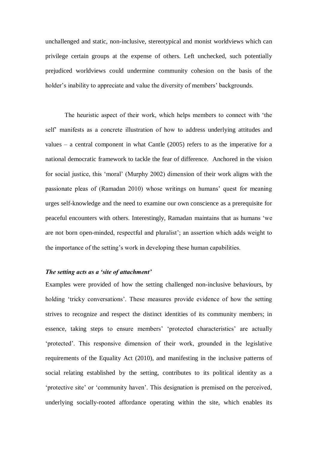unchallenged and static, non-inclusive, stereotypical and monist worldviews which can privilege certain groups at the expense of others. Left unchecked, such potentially prejudiced worldviews could undermine community cohesion on the basis of the holder's inability to appreciate and value the diversity of members' backgrounds.

The heuristic aspect of their work, which helps members to connect with 'the self' manifests as a concrete illustration of how to address underlying attitudes and values – a central component in what Cantle (2005) refers to as the imperative for a national democratic framework to tackle the fear of difference. Anchored in the vision for social justice, this 'moral' (Murphy 2002) dimension of their work aligns with the passionate pleas of (Ramadan 2010) whose writings on humans' quest for meaning urges self-knowledge and the need to examine our own conscience as a prerequisite for peaceful encounters with others. Interestingly, Ramadan maintains that as humans 'we are not born open-minded, respectful and pluralist'; an assertion which adds weight to the importance of the setting's work in developing these human capabilities.

# *The setting acts as a 'site of attachment'*

Examples were provided of how the setting challenged non-inclusive behaviours, by holding 'tricky conversations'. These measures provide evidence of how the setting strives to recognize and respect the distinct identities of its community members; in essence, taking steps to ensure members' 'protected characteristics' are actually 'protected'. This responsive dimension of their work, grounded in the legislative requirements of the Equality Act (2010), and manifesting in the inclusive patterns of social relating established by the setting, contributes to its political identity as a 'protective site' or 'community haven'. This designation is premised on the perceived, underlying socially-rooted affordance operating within the site, which enables its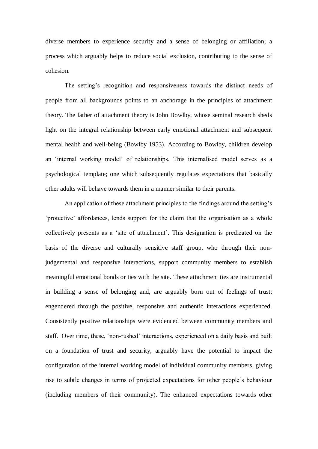diverse members to experience security and a sense of belonging or affiliation; a process which arguably helps to reduce social exclusion, contributing to the sense of cohesion.

The setting's recognition and responsiveness towards the distinct needs of people from all backgrounds points to an anchorage in the principles of attachment theory. The father of attachment theory is John Bowlby, whose seminal research sheds light on the integral relationship between early emotional attachment and subsequent mental health and well-being (Bowlby 1953). According to Bowlby, children develop an 'internal working model' of relationships. This internalised model serves as a psychological template; one which subsequently regulates expectations that basically other adults will behave towards them in a manner similar to their parents.

An application of these attachment principles to the findings around the setting's 'protective' affordances, lends support for the claim that the organisation as a whole collectively presents as a 'site of attachment'. This designation is predicated on the basis of the diverse and culturally sensitive staff group, who through their nonjudgemental and responsive interactions, support community members to establish meaningful emotional bonds or ties with the site. These attachment ties are instrumental in building a sense of belonging and, are arguably born out of feelings of trust; engendered through the positive, responsive and authentic interactions experienced. Consistently positive relationships were evidenced between community members and staff. Over time, these, 'non-rushed' interactions, experienced on a daily basis and built on a foundation of trust and security, arguably have the potential to impact the configuration of the internal working model of individual community members, giving rise to subtle changes in terms of projected expectations for other people's behaviour (including members of their community). The enhanced expectations towards other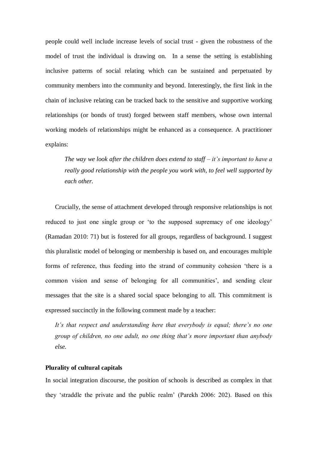people could well include increase levels of social trust - given the robustness of the model of trust the individual is drawing on. In a sense the setting is establishing inclusive patterns of social relating which can be sustained and perpetuated by community members into the community and beyond. Interestingly, the first link in the chain of inclusive relating can be tracked back to the sensitive and supportive working relationships (or bonds of trust) forged between staff members, whose own internal working models of relationships might be enhanced as a consequence. A practitioner explains:

*The way we look after the children does extend to staff – it's important to have a really good relationship with the people you work with, to feel well supported by each other.*

Crucially, the sense of attachment developed through responsive relationships is not reduced to just one single group or 'to the supposed supremacy of one ideology' (Ramadan 2010: 71) but is fostered for all groups, regardless of background. I suggest this pluralistic model of belonging or membership is based on, and encourages multiple forms of reference, thus feeding into the strand of community cohesion 'there is a common vision and sense of belonging for all communities', and sending clear messages that the site is a shared social space belonging to all. This commitment is expressed succinctly in the following comment made by a teacher:

*It's that respect and understanding here that everybody is equal; there's no one group of children, no one adult, no one thing that's more important than anybody else.* 

# **Plurality of cultural capitals**

In social integration discourse, the position of schools is described as complex in that they 'straddle the private and the public realm' (Parekh 2006: 202). Based on this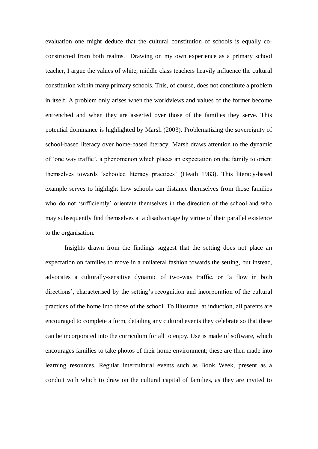evaluation one might deduce that the cultural constitution of schools is equally coconstructed from both realms. Drawing on my own experience as a primary school teacher, I argue the values of white, middle class teachers heavily influence the cultural constitution within many primary schools. This, of course, does not constitute a problem in itself. A problem only arises when the worldviews and values of the former become entrenched and when they are asserted over those of the families they serve. This potential dominance is highlighted by Marsh (2003). Problematizing the sovereignty of school-based literacy over home-based literacy, Marsh draws attention to the dynamic of 'one way traffic', a phenomenon which places an expectation on the family to orient themselves towards 'schooled literacy practices' (Heath 1983). This literacy-based example serves to highlight how schools can distance themselves from those families who do not 'sufficiently' orientate themselves in the direction of the school and who may subsequently find themselves at a disadvantage by virtue of their parallel existence to the organisation.

Insights drawn from the findings suggest that the setting does not place an expectation on families to move in a unilateral fashion towards the setting, but instead, advocates a culturally-sensitive dynamic of two-way traffic, or 'a flow in both directions', characterised by the setting's recognition and incorporation of the cultural practices of the home into those of the school. To illustrate, at induction, all parents are encouraged to complete a form, detailing any cultural events they celebrate so that these can be incorporated into the curriculum for all to enjoy. Use is made of software, which encourages families to take photos of their home environment; these are then made into learning resources. Regular intercultural events such as Book Week, present as a conduit with which to draw on the cultural capital of families, as they are invited to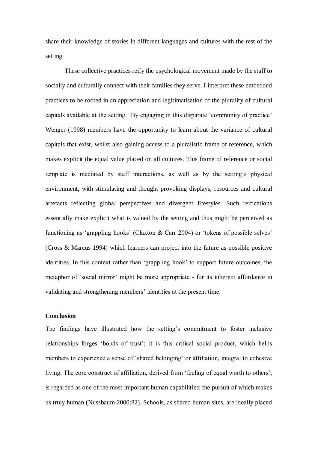share their knowledge of stories in different languages and cultures with the rest of the setting.

These collective practices reify the psychological movement made by the staff to socially and culturally connect with their families they serve. I interpret these embedded practices to be rooted in an appreciation and legitimatisation of the plurality of cultural capitals available at the setting. By engaging in this disparate 'community of practice' Wenger (1998) members have the opportunity to learn about the variance of cultural capitals that exist, whilst also gaining access to a pluralistic frame of reference, which makes explicit the equal value placed on all cultures. This frame of reference or social template is mediated by staff interactions, as well as by the setting's physical environment, with stimulating and thought provoking displays, resources and cultural artefacts reflecting global perspectives and divergent lifestyles. Such reifications essentially make explicit what is valued by the setting and thus might be perceived as functioning as 'grappling hooks' (Claxton & Carr 2004) or 'tokens of possible selves' (Cross & Marcus 1994) which learners can project into the future as possible positive identities. In this context rather than 'grappling hook' to support future outcomes, the metaphor of 'social mirror' might be more appropriate - for its inherent affordance in validating and strengthening members' identities at the present time.

### **Conclusion**

The findings have illustrated how the setting's commitment to foster inclusive relationships forges 'bonds of trust'; it is this critical social product, which helps members to experience a sense of 'shared belonging' or affiliation, integral to cohesive living. The core construct of affiliation, derived from 'feeling of equal worth to others', is regarded as one of the most important human capabilities; the pursuit of which makes us truly human (Nussbaum 2000:82). Schools, as shared human sites, are ideally placed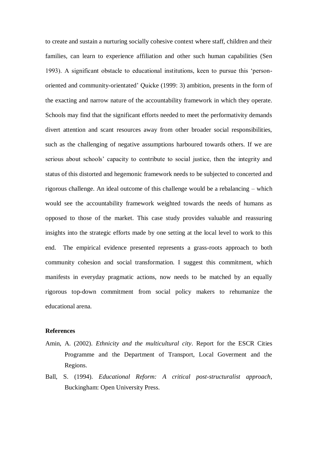to create and sustain a nurturing socially cohesive context where staff, children and their families, can learn to experience affiliation and other such human capabilities (Sen 1993). A significant obstacle to educational institutions, keen to pursue this 'personoriented and community-orientated' Quicke (1999: 3) ambition, presents in the form of the exacting and narrow nature of the accountability framework in which they operate. Schools may find that the significant efforts needed to meet the performativity demands divert attention and scant resources away from other broader social responsibilities, such as the challenging of negative assumptions harboured towards others. If we are serious about schools' capacity to contribute to social justice, then the integrity and status of this distorted and hegemonic framework needs to be subjected to concerted and rigorous challenge. An ideal outcome of this challenge would be a rebalancing – which would see the accountability framework weighted towards the needs of humans as opposed to those of the market. This case study provides valuable and reassuring insights into the strategic efforts made by one setting at the local level to work to this end. The empirical evidence presented represents a grass-roots approach to both community cohesion and social transformation. I suggest this commitment, which manifests in everyday pragmatic actions, now needs to be matched by an equally rigorous top-down commitment from social policy makers to rehumanize the educational arena.

# **References**

- Amin, A. (2002). *Ethnicity and the multicultural city*. Report for the ESCR Cities Programme and the Department of Transport, Local Goverment and the Regions.
- Ball, S. (1994). *Educational Reform: A critical post-structuralist approach*, Buckingham: Open University Press.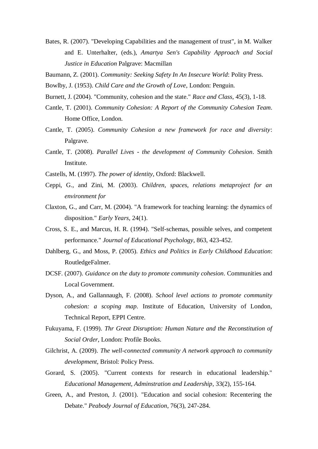Bates, R. (2007). "Developing Capabilities and the management of trust", in M. Walker and E. Unterhalter, (eds.), *Amartya Sen's Capability Approach and Social Justice in Education* Palgrave: Macmillan

Baumann, Z. (2001). *Community: Seeking Safety In An Insecure World*: Polity Press.

Bowlby, J. (1953). *Child Care and the Growth of Love*, London: Penguin.

- Burnett, J. (2004). "Community, cohesion and the state." *Race and Class*, 45(3), 1-18.
- Cantle, T. (2001). *Community Cohesion: A Report of the Community Cohesion Team*. Home Office, London.
- Cantle, T. (2005). *Community Cohesion a new framework for race and diversity*: Palgrave.
- Cantle, T. (2008). *Parallel Lives the development of Community Cohesion*. Smith Institute.
- Castells, M. (1997). *The power of identity*, Oxford: Blackwell.
- Ceppi, G., and Zini, M. (2003). *Children, spaces, relations metaproject for an environment for*
- Claxton, G., and Carr, M. (2004). "A framework for teaching learning: the dynamics of disposition." *Early Years*, 24(1).
- Cross, S. E., and Marcus, H. R. (1994). "Self-schemas, possible selves, and competent performance." *Journal of Educational Psychology*, 863, 423-452.
- Dahlberg, G., and Moss, P. (2005). *Ethics and Politics in Early Childhood Education*: RoutledgeFalmer.
- DCSF. (2007). *Guidance on the duty to promote community cohesion*. Communities and Local Government.
- Dyson, A., and Gallannaugh, F. (2008). *School level actions to promote community cohesion: a scoping map*. Institute of Education, University of London, Technical Report, EPPI Centre.
- Fukuyama, F. (1999). *Thr Great Disruption: Human Nature and the Reconstitution of Social Order*, London: Profile Books.
- Gilchrist, A. (2009). *The well-connected community A network approach to community development*, Bristol: Policy Press.
- Gorard, S. (2005). "Current contexts for research in educational leadership." *Educational Management, Adminstration and Leadership*, 33(2), 155-164.
- Green, A., and Preston, J. (2001). "Education and social cohesion: Recentering the Debate." *Peabody Journal of Education*, 76(3), 247-284.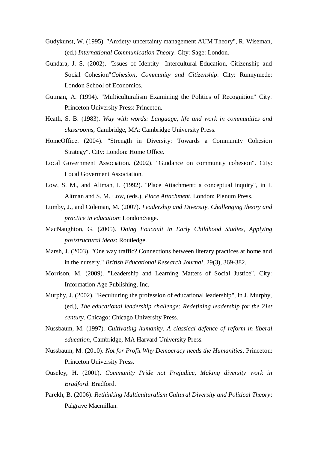- Gudykunst, W. (1995). "Anxiety/ uncertainty management AUM Theory", R. Wiseman, (ed.) *International Communication Theory*. City: Sage: London.
- Gundara, J. S. (2002). "Issues of Identity Intercultural Education, Citizenship and Social Cohesion"*Cohesion, Community and Citizenship*. City: Runnymede: London School of Economics.
- Gutman, A. (1994). "Multiculturalism Examining the Politics of Recognition" City: Princeton University Press: Princeton.
- Heath, S. B. (1983). *Way with words: Language, life and work in communities and classrooms*, Cambridge, MA: Cambridge University Press.
- HomeOffice. (2004). "Strength in Diversity: Towards a Community Cohesion Strategy". City: London: Home Office.
- Local Government Association. (2002). "Guidance on community cohesion". City: Local Goverment Association.
- Low, S. M., and Altman, I. (1992). "Place Attachment: a conceptual inquiry", in I. Altman and S. M. Low, (eds.), *Place Attachment*. London: Plenum Press.
- Lumby, J., and Coleman, M. (2007). *Leadership and Diversity. Challenging theory and practice in education*: London:Sage.
- MacNaughton, G. (2005). *Doing Foucault in Early Childhood Studies, Applying poststructural ideas*: Routledge.
- Marsh, J. (2003). "One way traffic? Connections between literary practices at home and in the nursery." *British Educational Research Journal*, 29(3), 369-382.
- Morrison, M. (2009). "Leadership and Learning Matters of Social Justice". City: Information Age Publishing, Inc.
- Murphy, J. (2002). "Reculturing the profession of educational leadership", in J. Murphy, (ed.), *The educational leadership challenge: Redefining leadership for the 21st century*. Chicago: Chicago University Press.
- Nussbaum, M. (1997). *Cultivating humanity. A classical defence of reform in liberal education*, Cambridge, MA Harvard University Press.
- Nussbaum, M. (2010). *Not for Profit Why Democracy needs the Humanities*, Princeton: Princeton University Press.
- Ouseley, H. (2001). *Community Pride not Prejudice, Making diversity work in Bradford*. Bradford.
- Parekh, B. (2006). *Rethinking Multiculturalism Cultural Diversity and Political Theory*: Palgrave Macmillan.